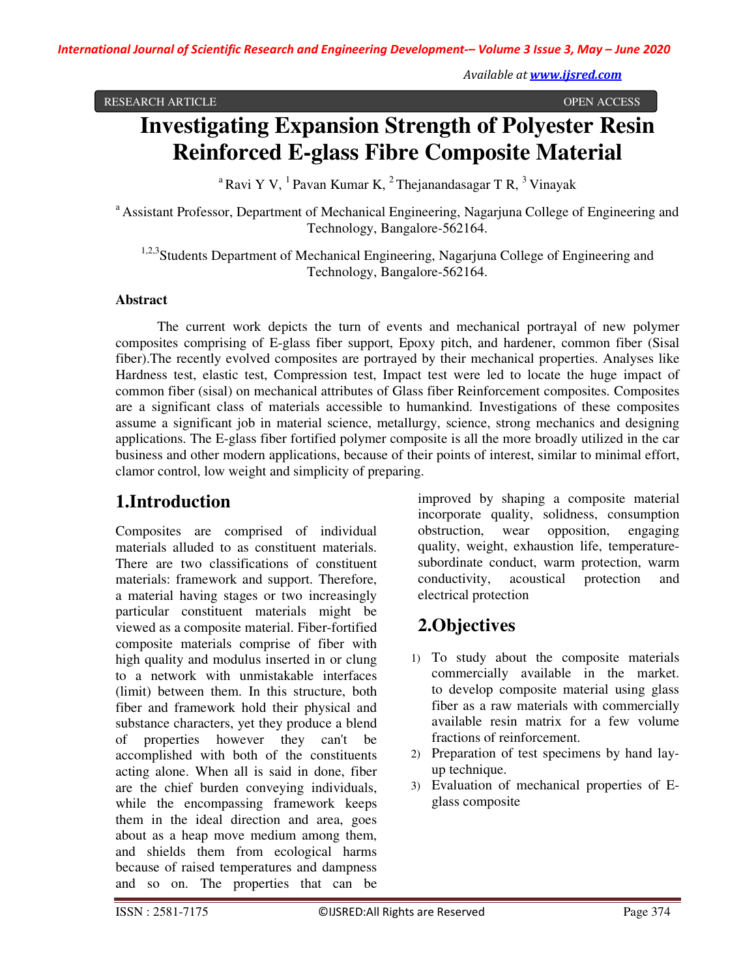*Available at www.ijsred.com*

RESEARCH ARTICLE OPEN ACCESS

# **Investigating Expansion Strength of Polyester Resin Reinforced E-glass Fibre Composite Material**

<sup>a</sup> Ravi Y V, <sup>1</sup> Pavan Kumar K, <sup>2</sup> Thejanandasagar T R, <sup>3</sup> Vinayak

<sup>a</sup> Assistant Professor, Department of Mechanical Engineering, Nagarjuna College of Engineering and Technology, Bangalore-562164.

<sup>1,2,3</sup>Students Department of Mechanical Engineering, Nagarjuna College of Engineering and Technology, Bangalore-562164.

#### **Abstract**

The current work depicts the turn of events and mechanical portrayal of new polymer composites comprising of E-glass fiber support, Epoxy pitch, and hardener, common fiber (Sisal fiber).The recently evolved composites are portrayed by their mechanical properties. Analyses like Hardness test, elastic test, Compression test, Impact test were led to locate the huge impact of common fiber (sisal) on mechanical attributes of Glass fiber Reinforcement composites. Composites are a significant class of materials accessible to humankind. Investigations of these composites assume a significant job in material science, metallurgy, science, strong mechanics and designing applications. The E-glass fiber fortified polymer composite is all the more broadly utilized in the car business and other modern applications, because of their points of interest, similar to minimal effort, clamor control, low weight and simplicity of preparing.

# **1.Introduction**

Composites are comprised of individual materials alluded to as constituent materials. There are two classifications of constituent materials: framework and support. Therefore, a material having stages or two increasingly particular constituent materials might be viewed as a composite material. Fiber-fortified composite materials comprise of fiber with high quality and modulus inserted in or clung to a network with unmistakable interfaces (limit) between them. In this structure, both fiber and framework hold their physical and substance characters, yet they produce a blend of properties however they can't be accomplished with both of the constituents acting alone. When all is said in done, fiber are the chief burden conveying individuals, while the encompassing framework keeps them in the ideal direction and area, goes about as a heap move medium among them, and shields them from ecological harms because of raised temperatures and dampness and so on. The properties that can be

improved by shaping a composite material incorporate quality, solidness, consumption obstruction, wear opposition, engaging quality, weight, exhaustion life, temperaturesubordinate conduct, warm protection, warm conductivity, acoustical protection and electrical protection

# **2.Objectives**

- 1) To study about the composite materials commercially available in the market. to develop composite material using glass fiber as a raw materials with commercially available resin matrix for a few volume fractions of reinforcement.
- 2) Preparation of test specimens by hand layup technique.
- 3) Evaluation of mechanical properties of Eglass composite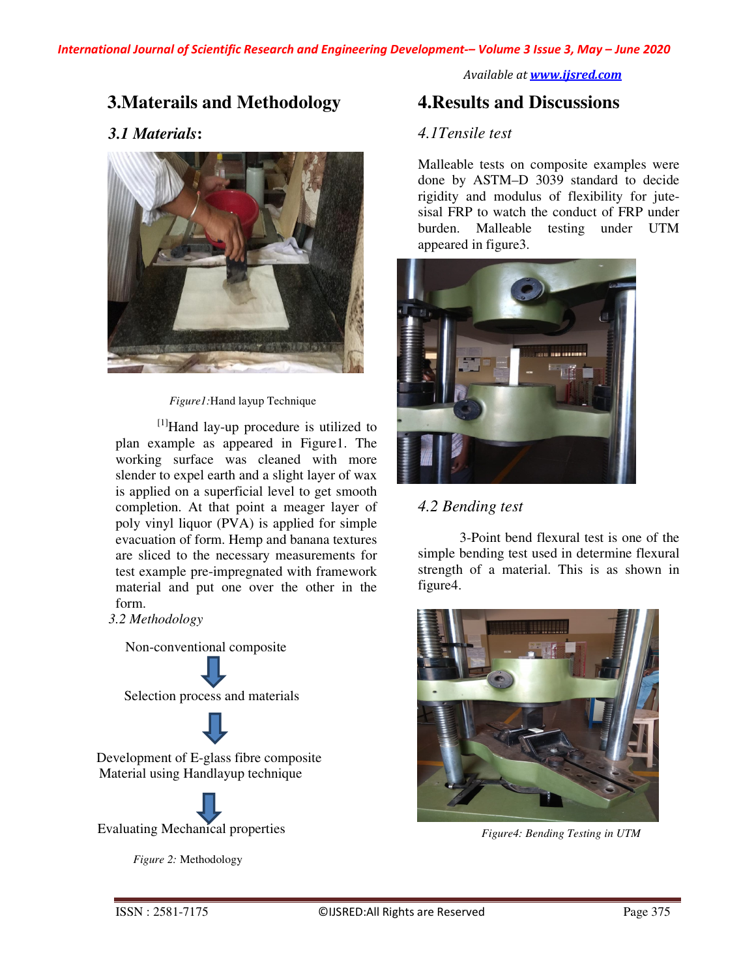*Available at www.ijsred.com*

# **3.Materails and Methodology**

## *3.1 Materials***:**



*Figure1:*Hand layup Technique

[1]Hand lay-up procedure is utilized to plan example as appeared in Figure1. The working surface was cleaned with more slender to expel earth and a slight layer of wax is applied on a superficial level to get smooth completion. At that point a meager layer of poly vinyl liquor (PVA) is applied for simple evacuation of form. Hemp and banana textures are sliced to the necessary measurements for test example pre-impregnated with framework material and put one over the other in the form.

*3.2 Methodology* 

 Non-conventional composite Selection process and materials Development of E-glass fibre composite Material using Handlayup technique

Evaluating Mechanical properties

 *Figure 2:* Methodology

# **4.Results and Discussions**

#### *4.1Tensile test*

Malleable tests on composite examples were done by ASTM–D 3039 standard to decide rigidity and modulus of flexibility for jutesisal FRP to watch the conduct of FRP under burden. Malleable testing under UTM appeared in figure3.



## *4.2 Bending test*

3-Point bend flexural test is one of the simple bending test used in determine flexural strength of a material. This is as shown in figure4.



*Figure4: Bending Testing in UTM*